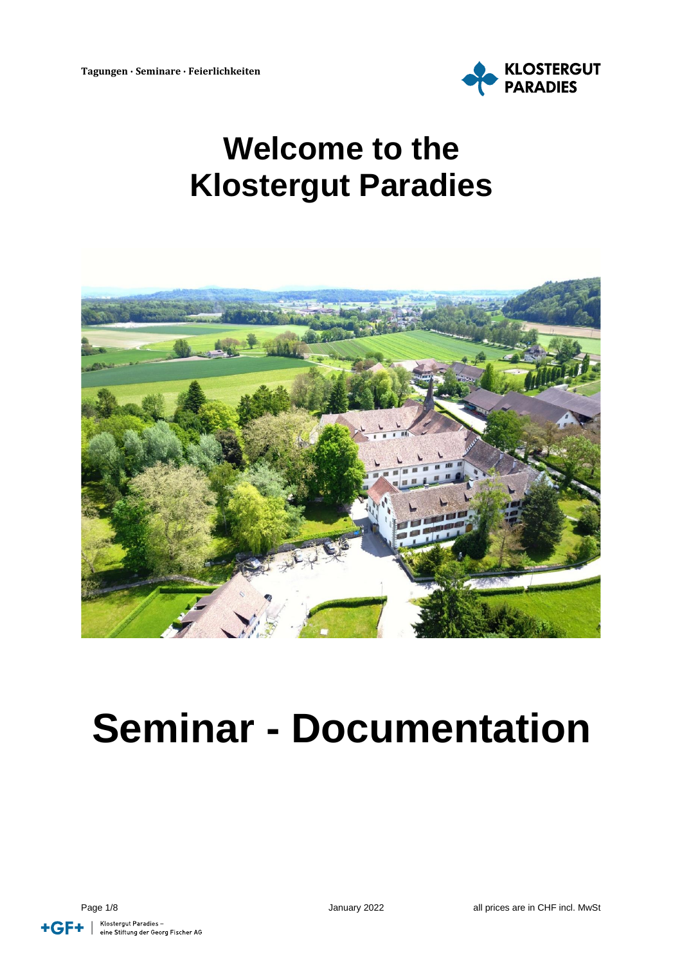

# **Welcome to the Klostergut Paradies**



# **Seminar - Documentation**

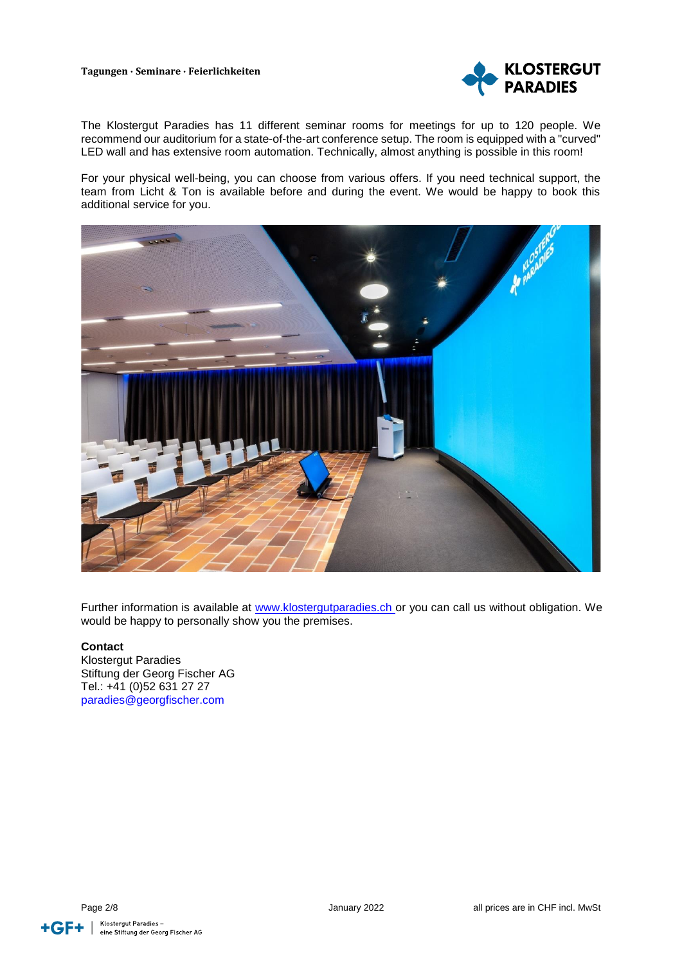#### **Tagungen ∙ Seminare ∙ Feierlichkeiten**



The Klostergut Paradies has 11 different seminar rooms for meetings for up to 120 people. We recommend our auditorium for a state-of-the-art conference setup. The room is equipped with a "curved" LED wall and has extensive room automation. Technically, almost anything is possible in this room!

For your physical well-being, you can choose from various offers. If you need technical support, the team from Licht & Ton is available before and during the event. We would be happy to book this additional service for you.



Further information is available at [www.klostergutparadies.ch](http://www.klostergutparadies.ch/) or you can call us without obligation. We would be happy to personally show you the premises.

#### **Contact**

Klostergut Paradies Stiftung der Georg Fischer AG Tel.: +41 (0)52 631 27 27 paradies@georgfischer.com

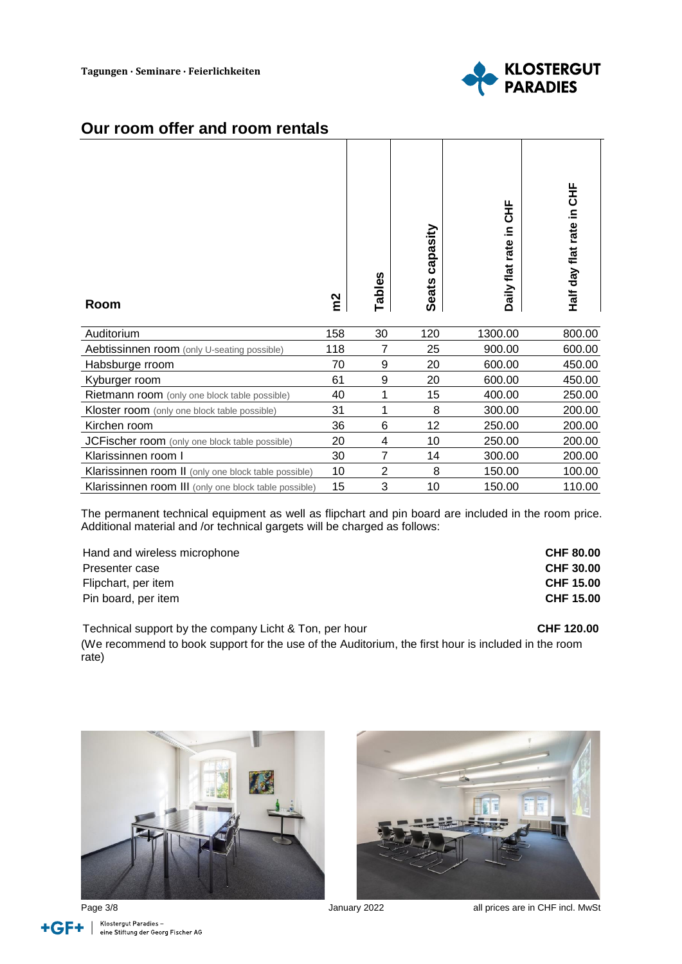

#### **Our room offer and room rentals**

| Room                                                  | $\tilde{m}$ | Tables         | capasity<br><b>Seats</b> | HH<br>50<br>≘.<br>rate<br>Daily flat | HH<br>Half day flat rate in |
|-------------------------------------------------------|-------------|----------------|--------------------------|--------------------------------------|-----------------------------|
| Auditorium                                            | 158         | 30             | 120                      | 1300.00                              | 800.00                      |
| Aebtissinnen room (only U-seating possible)           | 118         | 7              | 25                       | 900.00                               | 600.00                      |
| Habsburge rroom                                       | 70          | 9              | 20                       | 600.00                               | 450.00                      |
| Kyburger room                                         | 61          | 9              | 20                       | 600.00                               | 450.00                      |
| <b>Rietmann room</b> (only one block table possible)  | 40          | 1              | 15                       | 400.00                               | 250.00                      |
| Kloster room (only one block table possible)          | 31          | 1              | 8                        | 300.00                               | 200.00                      |
| Kirchen room                                          | 36          | 6              | 12                       | 250.00                               | 200.00                      |
| JCFischer room (only one block table possible)        | 20          | 4              | 10                       | 250.00                               | 200.00                      |
| Klarissinnen room I                                   | 30          | $\overline{7}$ | 14                       | 300.00                               | 200.00                      |
| Klarissinnen room II (only one block table possible)  | 10          | $\overline{2}$ | 8                        | 150.00                               | 100.00                      |
| Klarissinnen room III (only one block table possible) | 15          | 3              | 10                       | 150.00                               | 110.00                      |

The permanent technical equipment as well as flipchart and pin board are included in the room price. Additional material and /or technical gargets will be charged as follows:

| Hand and wireless microphone | <b>CHF 80.00</b> |
|------------------------------|------------------|
| Presenter case               | <b>CHF 30.00</b> |
| Flipchart, per item          | <b>CHF 15.00</b> |
| Pin board, per item          | <b>CHF 15.00</b> |

Technical support by the company Licht & Ton, per hour **CHF 120.00** CHF 120.00

(We recommend to book support for the use of the Auditorium, the first hour is included in the room rate)







Page 3/8 **Page 3/8** January 2022 **all prices are in CHF incl. MwSt**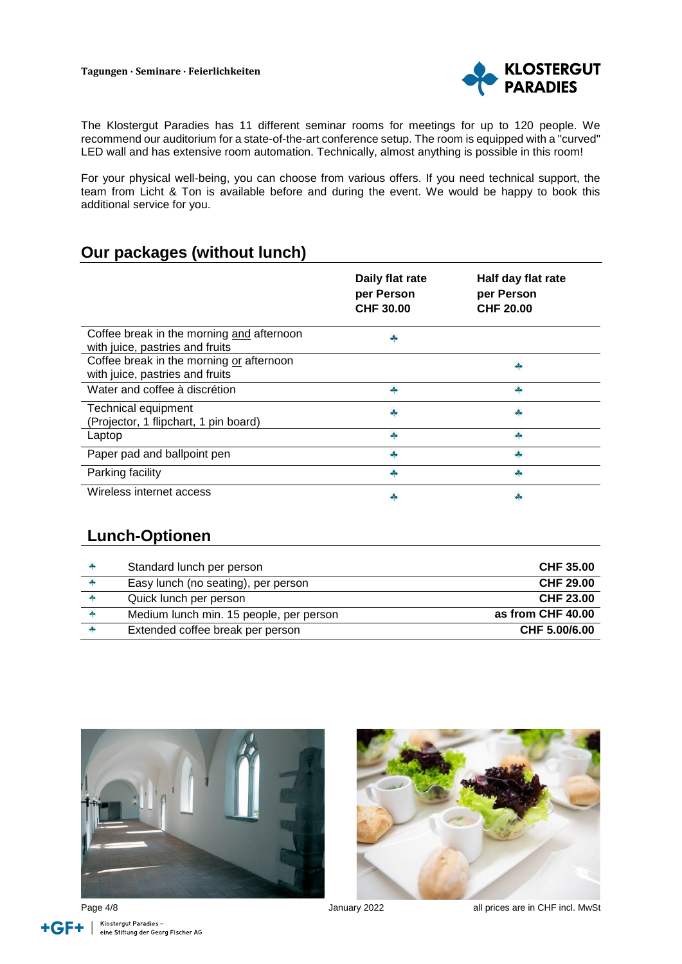

The Klostergut Paradies has 11 different seminar rooms for meetings for up to 120 people. We recommend our auditorium for a state-of-the-art conference setup. The room is equipped with a "curved" LED wall and has extensive room automation. Technically, almost anything is possible in this room!

For your physical well-being, you can choose from various offers. If you need technical support, the team from Licht & Ton is available before and during the event. We would be happy to book this additional service for you.

#### **Our packages (without lunch)**

|                                                                              | Daily flat rate<br>per Person<br><b>CHF 30.00</b> | Half day flat rate<br>per Person<br>CHF 20.00 |
|------------------------------------------------------------------------------|---------------------------------------------------|-----------------------------------------------|
| Coffee break in the morning and afternoon<br>with juice, pastries and fruits |                                                   |                                               |
| Coffee break in the morning or afternoon<br>with juice, pastries and fruits  |                                                   |                                               |
| Water and coffee à discrétion                                                | 4                                                 | d.                                            |
| <b>Technical equipment</b><br>(Projector, 1 flipchart, 1 pin board)          |                                                   |                                               |
| Laptop                                                                       |                                                   |                                               |
| Paper pad and ballpoint pen                                                  |                                                   |                                               |
| Parking facility                                                             |                                                   |                                               |
| Wireless internet access                                                     |                                                   |                                               |

#### **Lunch-Optionen**

| Standard lunch per person               | <b>CHF 35.00</b>  |
|-----------------------------------------|-------------------|
| Easy lunch (no seating), per person     | CHF 29.00         |
| Quick lunch per person                  | CHF 23.00         |
| Medium lunch min. 15 people, per person | as from CHF 40.00 |
| Extended coffee break per person        | CHF 5.00/6.00     |







Page 4/8 **Page 4/8** January 2022 **all prices are in CHF incl. MwSt**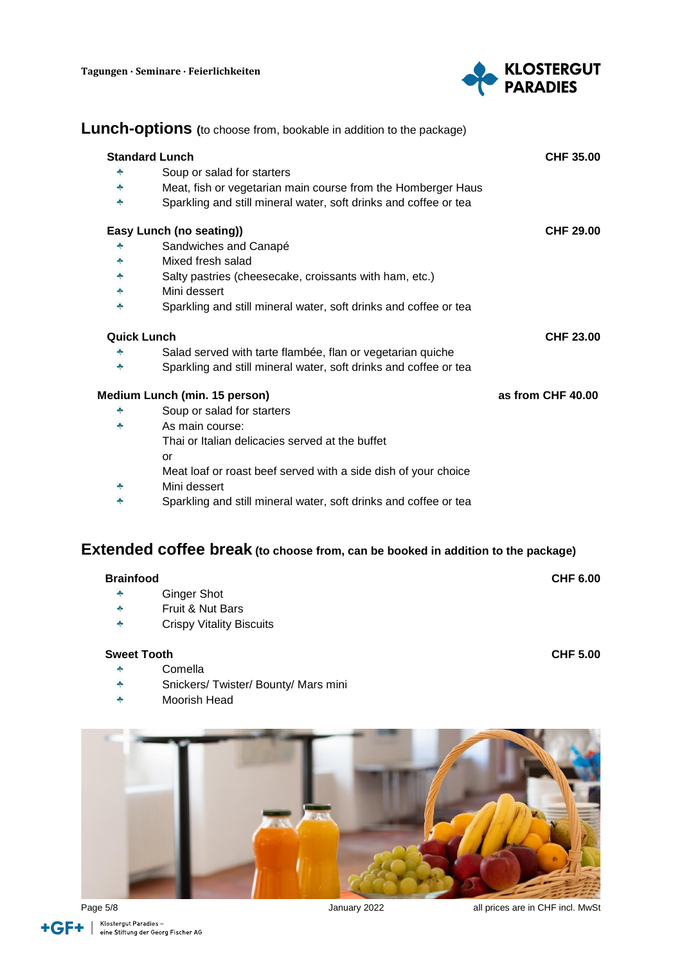

|                    | <b>Standard Lunch</b>                                            | <b>CHF 35.00</b>  |
|--------------------|------------------------------------------------------------------|-------------------|
| 4                  | Soup or salad for starters                                       |                   |
| ÷                  | Meat, fish or vegetarian main course from the Homberger Haus     |                   |
| 4                  | Sparkling and still mineral water, soft drinks and coffee or tea |                   |
|                    | Easy Lunch (no seating))                                         | <b>CHF 29.00</b>  |
|                    | Sandwiches and Canapé                                            |                   |
| ÷                  | Mixed fresh salad                                                |                   |
| 4                  | Salty pastries (cheesecake, croissants with ham, etc.)           |                   |
| ÷                  | Mini dessert                                                     |                   |
| 4                  | Sparkling and still mineral water, soft drinks and coffee or tea |                   |
| <b>Quick Lunch</b> |                                                                  | <b>CHF 23.00</b>  |
| ÷                  | Salad served with tarte flambée, flan or vegetarian quiche       |                   |
| 4                  | Sparkling and still mineral water, soft drinks and coffee or tea |                   |
|                    | Medium Lunch (min. 15 person)                                    | as from CHF 40.00 |
| ÷                  | Soup or salad for starters                                       |                   |
| ÷                  | As main course:                                                  |                   |
|                    | Thai or Italian delicacies served at the buffet                  |                   |
|                    | or                                                               |                   |
|                    | Meat loaf or roast beef served with a side dish of your choice   |                   |
| ÷                  | Mini dessert                                                     |                   |
| ÷                  | Sparkling and still mineral water, soft drinks and coffee or tea |                   |

| <b>Brainfood</b> |                                 | <b>CHF 6.00</b> |
|------------------|---------------------------------|-----------------|
| $-\frac{1}{2}$   | Ginger Shot                     |                 |
| $\bullet$        | Fruit & Nut Bars                |                 |
| $\bullet$        | <b>Crispy Vitality Biscuits</b> |                 |

#### **Sweet Tooth CHF 5.00**

- $\bullet$ Comella
- 4 Snickers/ Twister/ Bounty/ Mars mini
- $\ddot{\bullet}$ Moorish Head



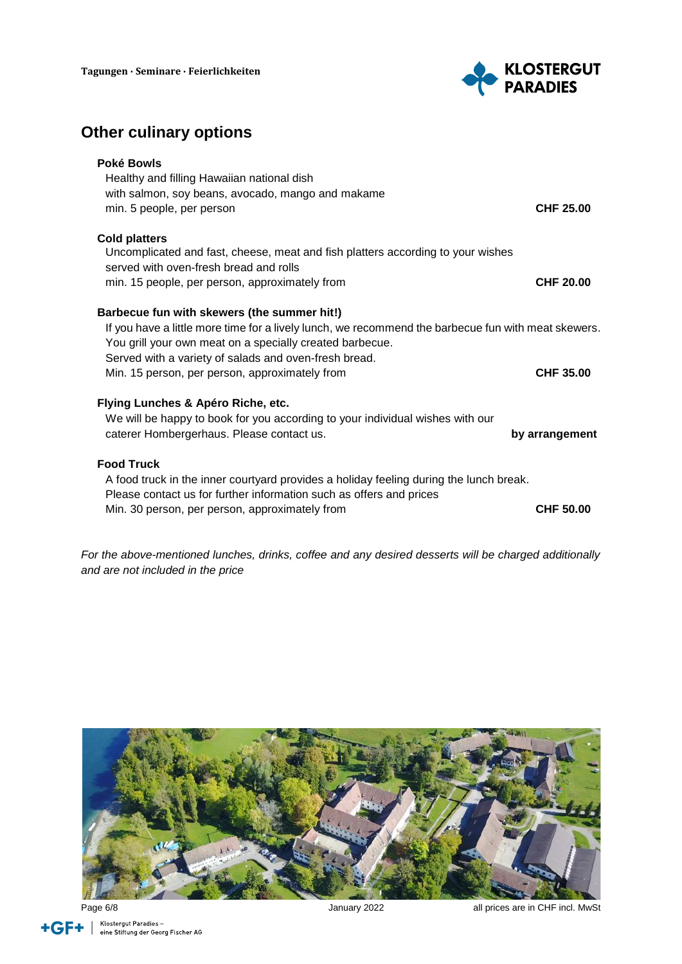

## **Other culinary options**

| Poké Bowls<br>Healthy and filling Hawaiian national dish<br>with salmon, soy beans, avocado, mango and makame<br>min. 5 people, per person                                                                                                                                                                                | CHF 25.00        |
|---------------------------------------------------------------------------------------------------------------------------------------------------------------------------------------------------------------------------------------------------------------------------------------------------------------------------|------------------|
| <b>Cold platters</b><br>Uncomplicated and fast, cheese, meat and fish platters according to your wishes<br>served with oven-fresh bread and rolls<br>min. 15 people, per person, approximately from                                                                                                                       | <b>CHF 20.00</b> |
| Barbecue fun with skewers (the summer hit!)<br>If you have a little more time for a lively lunch, we recommend the barbecue fun with meat skewers.<br>You grill your own meat on a specially created barbecue.<br>Served with a variety of salads and oven-fresh bread.<br>Min. 15 person, per person, approximately from | <b>CHF 35.00</b> |
| Flying Lunches & Apéro Riche, etc.<br>We will be happy to book for you according to your individual wishes with our<br>caterer Hombergerhaus. Please contact us.                                                                                                                                                          | by arrangement   |
| <b>Food Truck</b><br>A food truck in the inner courtyard provides a holiday feeling during the lunch break.<br>Please contact us for further information such as offers and prices<br>Min. 30 person, per person, approximately from                                                                                      | <b>CHF 50.00</b> |

*For the above-mentioned lunches, drinks, coffee and any desired desserts will be charged additionally and are not included in the price*



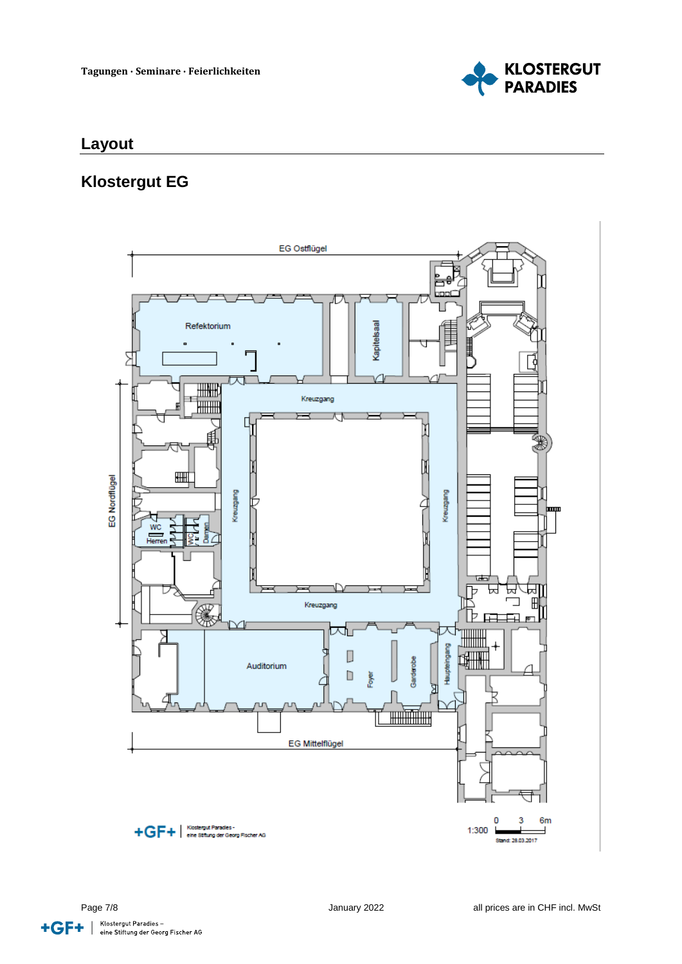

## **Layout**

#### **Klostergut EG**